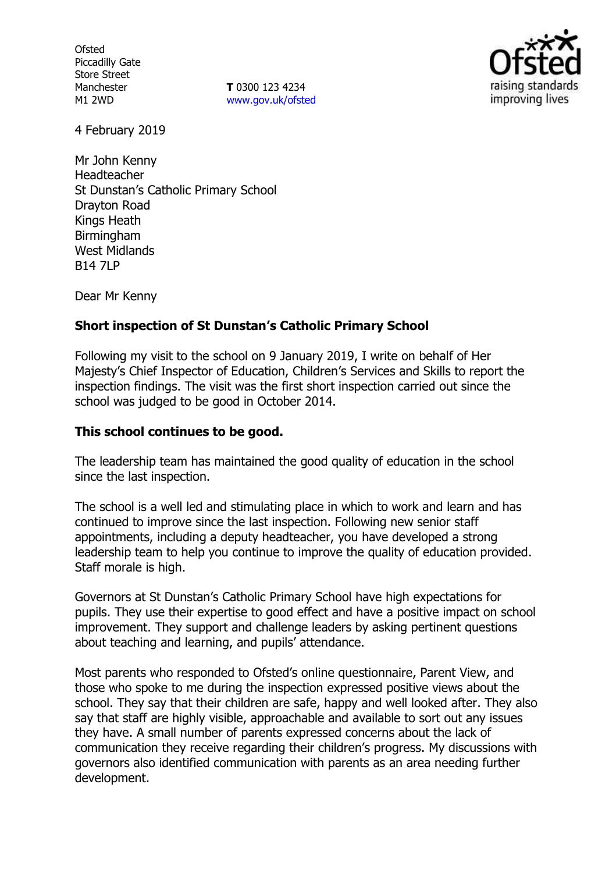**Ofsted** Piccadilly Gate Store Street Manchester M1 2WD

**T** 0300 123 4234 www.gov.uk/ofsted



4 February 2019

Mr John Kenny Headteacher St Dunstan's Catholic Primary School Drayton Road Kings Heath **Birmingham** West Midlands **B14 7LP** 

Dear Mr Kenny

### **Short inspection of St Dunstan's Catholic Primary School**

Following my visit to the school on 9 January 2019, I write on behalf of Her Majesty's Chief Inspector of Education, Children's Services and Skills to report the inspection findings. The visit was the first short inspection carried out since the school was judged to be good in October 2014.

#### **This school continues to be good.**

The leadership team has maintained the good quality of education in the school since the last inspection.

The school is a well led and stimulating place in which to work and learn and has continued to improve since the last inspection. Following new senior staff appointments, including a deputy headteacher, you have developed a strong leadership team to help you continue to improve the quality of education provided. Staff morale is high.

Governors at St Dunstan's Catholic Primary School have high expectations for pupils. They use their expertise to good effect and have a positive impact on school improvement. They support and challenge leaders by asking pertinent questions about teaching and learning, and pupils' attendance.

Most parents who responded to Ofsted's online questionnaire, Parent View, and those who spoke to me during the inspection expressed positive views about the school. They say that their children are safe, happy and well looked after. They also say that staff are highly visible, approachable and available to sort out any issues they have. A small number of parents expressed concerns about the lack of communication they receive regarding their children's progress. My discussions with governors also identified communication with parents as an area needing further development.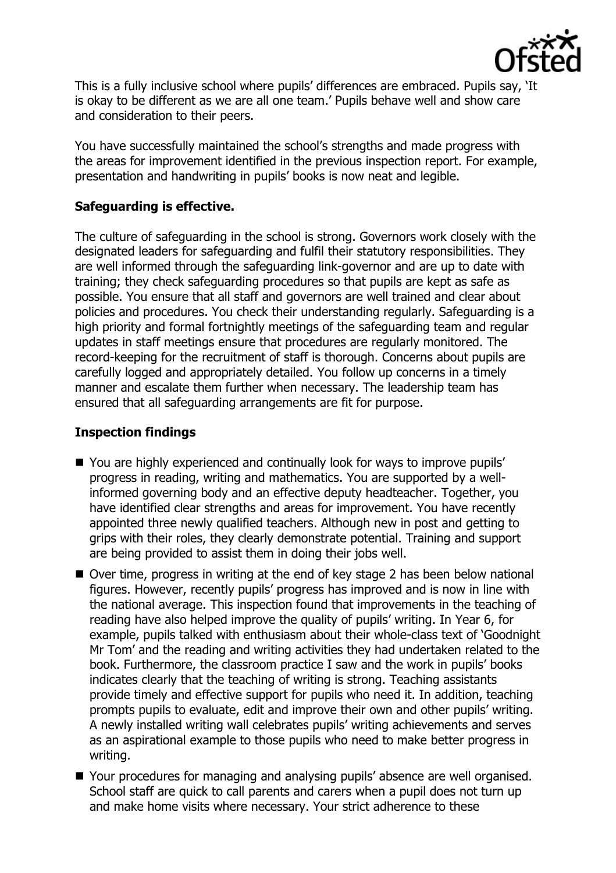

This is a fully inclusive school where pupils' differences are embraced. Pupils say, 'It is okay to be different as we are all one team.' Pupils behave well and show care and consideration to their peers.

You have successfully maintained the school's strengths and made progress with the areas for improvement identified in the previous inspection report. For example, presentation and handwriting in pupils' books is now neat and legible.

# **Safeguarding is effective.**

The culture of safeguarding in the school is strong. Governors work closely with the designated leaders for safeguarding and fulfil their statutory responsibilities. They are well informed through the safeguarding link-governor and are up to date with training; they check safeguarding procedures so that pupils are kept as safe as possible. You ensure that all staff and governors are well trained and clear about policies and procedures. You check their understanding regularly. Safeguarding is a high priority and formal fortnightly meetings of the safeguarding team and regular updates in staff meetings ensure that procedures are regularly monitored. The record-keeping for the recruitment of staff is thorough. Concerns about pupils are carefully logged and appropriately detailed. You follow up concerns in a timely manner and escalate them further when necessary. The leadership team has ensured that all safeguarding arrangements are fit for purpose.

# **Inspection findings**

- You are highly experienced and continually look for ways to improve pupils' progress in reading, writing and mathematics. You are supported by a wellinformed governing body and an effective deputy headteacher. Together, you have identified clear strengths and areas for improvement. You have recently appointed three newly qualified teachers. Although new in post and getting to grips with their roles, they clearly demonstrate potential. Training and support are being provided to assist them in doing their jobs well.
- Over time, progress in writing at the end of key stage 2 has been below national figures. However, recently pupils' progress has improved and is now in line with the national average. This inspection found that improvements in the teaching of reading have also helped improve the quality of pupils' writing. In Year 6, for example, pupils talked with enthusiasm about their whole-class text of 'Goodnight Mr Tom' and the reading and writing activities they had undertaken related to the book. Furthermore, the classroom practice I saw and the work in pupils' books indicates clearly that the teaching of writing is strong. Teaching assistants provide timely and effective support for pupils who need it. In addition, teaching prompts pupils to evaluate, edit and improve their own and other pupils' writing. A newly installed writing wall celebrates pupils' writing achievements and serves as an aspirational example to those pupils who need to make better progress in writing.
- Your procedures for managing and analysing pupils' absence are well organised. School staff are quick to call parents and carers when a pupil does not turn up and make home visits where necessary. Your strict adherence to these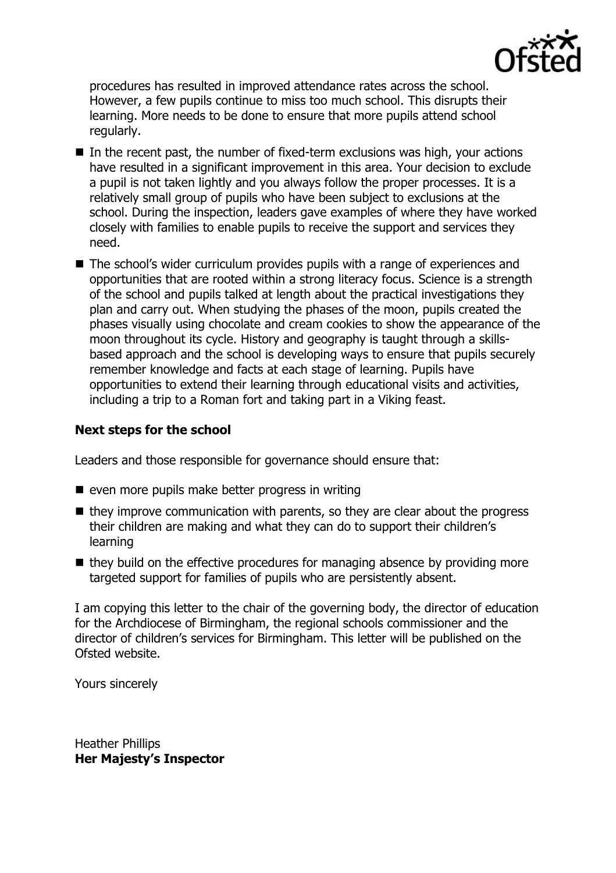

procedures has resulted in improved attendance rates across the school. However, a few pupils continue to miss too much school. This disrupts their learning. More needs to be done to ensure that more pupils attend school regularly.

- $\blacksquare$  In the recent past, the number of fixed-term exclusions was high, your actions have resulted in a significant improvement in this area. Your decision to exclude a pupil is not taken lightly and you always follow the proper processes. It is a relatively small group of pupils who have been subject to exclusions at the school. During the inspection, leaders gave examples of where they have worked closely with families to enable pupils to receive the support and services they need.
- The school's wider curriculum provides pupils with a range of experiences and opportunities that are rooted within a strong literacy focus. Science is a strength of the school and pupils talked at length about the practical investigations they plan and carry out. When studying the phases of the moon, pupils created the phases visually using chocolate and cream cookies to show the appearance of the moon throughout its cycle. History and geography is taught through a skillsbased approach and the school is developing ways to ensure that pupils securely remember knowledge and facts at each stage of learning. Pupils have opportunities to extend their learning through educational visits and activities, including a trip to a Roman fort and taking part in a Viking feast.

### **Next steps for the school**

Leaders and those responsible for governance should ensure that:

- $\blacksquare$  even more pupils make better progress in writing
- $\blacksquare$  they improve communication with parents, so they are clear about the progress their children are making and what they can do to support their children's learning
- $\blacksquare$  they build on the effective procedures for managing absence by providing more targeted support for families of pupils who are persistently absent.

I am copying this letter to the chair of the governing body, the director of education for the Archdiocese of Birmingham, the regional schools commissioner and the director of children's services for Birmingham. This letter will be published on the Ofsted website.

Yours sincerely

Heather Phillips **Her Majesty's Inspector**